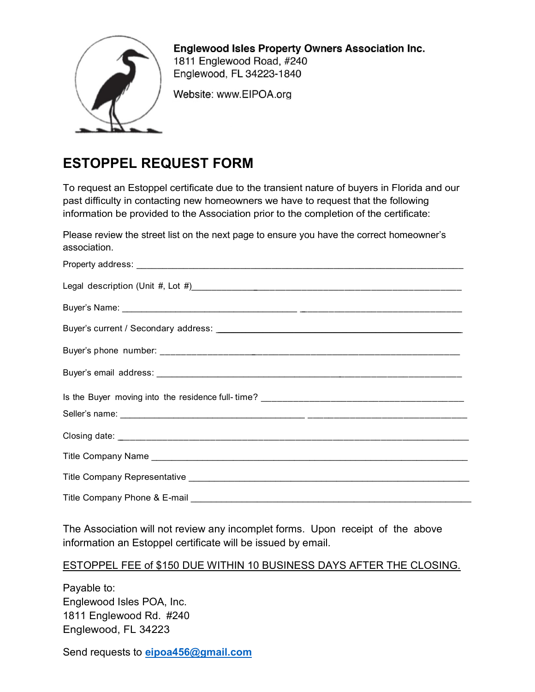

**Englewood Isles Property Owners Association Inc.** 1811 Englewood Road, #240 Englewood, FL 34223-1840

Website: www.EIPOA.org

## ESTOPPEL REQUEST FORM

To request an Estoppel certificate due to the transient nature of buyers in Florida and our past difficulty in contacting new homeowners we have to request that the following information be provided to the Association prior to the completion of the certificate:

Please review the street list on the next page to ensure you have the correct homeowner's association.

| Title Company Phone & E-mail |  |
|------------------------------|--|

The Association will not review any incomplet forms. Upon receipt of the above information an Estoppel certificate will be issued by email.

## ESTOPPEL FEE of \$150 DUE WITHIN 10 BUSINESS DAYS AFTER THE CLOSING.

Payable to: Englewood Isles POA, Inc. 1811 Englewood Rd. #240 Englewood, FL 34223

Send requests to eipoa456@gmail.com